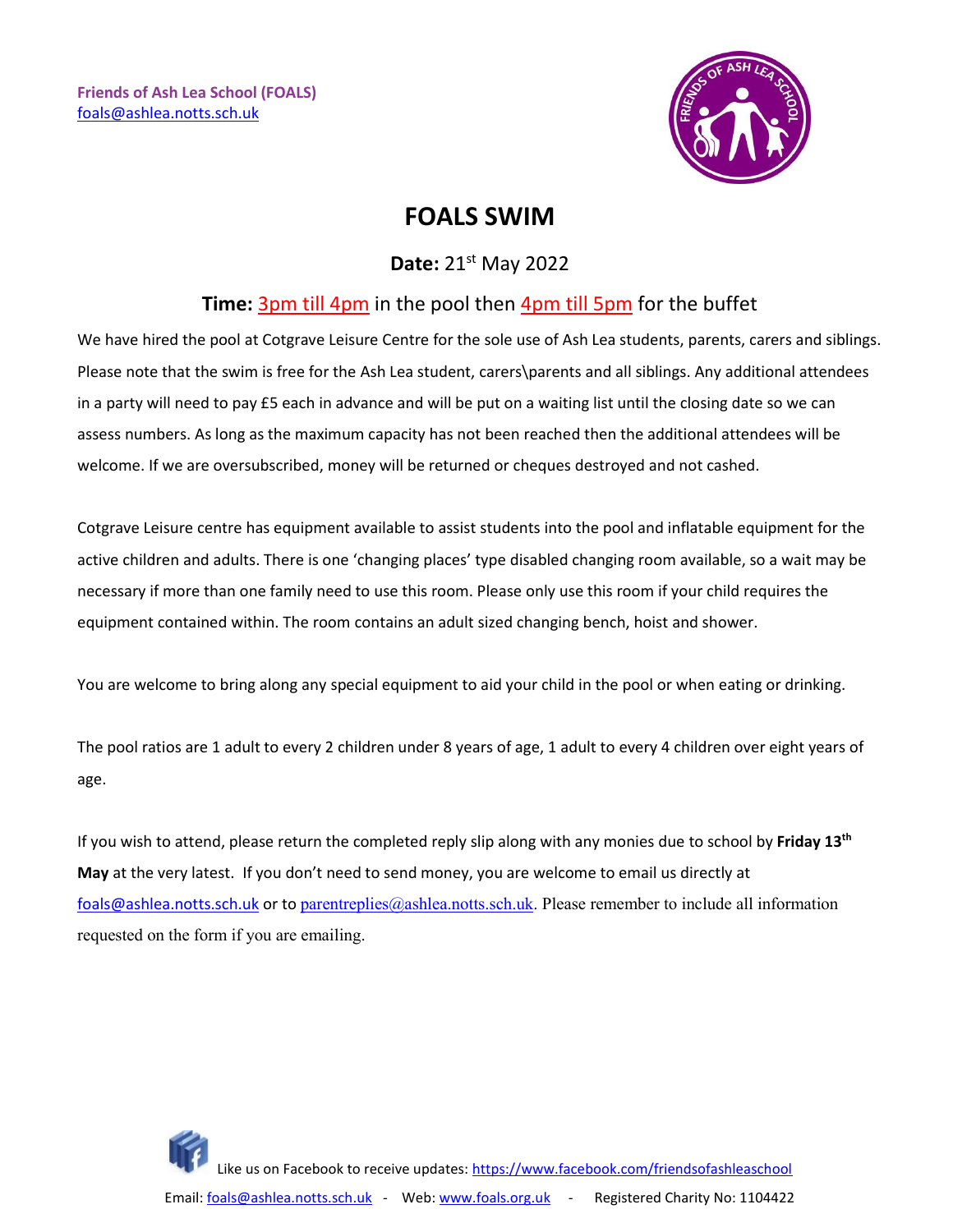**Friends of Ash Lea School (FOALS)** [foals@ashlea.notts.sch.uk](mailto:foals@ashlea.notts.sch.uk)



# **FOALS SWIM**

### **Date:** 21st May 2022

#### **Time:** 3pm till 4pm in the pool then 4pm till 5pm for the buffet

We have hired the pool at Cotgrave Leisure Centre for the sole use of Ash Lea students, parents, carers and siblings. Please note that the swim is free for the Ash Lea student, carers\parents and all siblings. Any additional attendees in a party will need to pay £5 each in advance and will be put on a waiting list until the closing date so we can assess numbers. As long as the maximum capacity has not been reached then the additional attendees will be welcome. If we are oversubscribed, money will be returned or cheques destroyed and not cashed.

Cotgrave Leisure centre has equipment available to assist students into the pool and inflatable equipment for the active children and adults. There is one 'changing places' type disabled changing room available, so a wait may be necessary if more than one family need to use this room. Please only use this room if your child requires the equipment contained within. The room contains an adult sized changing bench, hoist and shower.

You are welcome to bring along any special equipment to aid your child in the pool or when eating or drinking.

The pool ratios are 1 adult to every 2 children under 8 years of age, 1 adult to every 4 children over eight years of age.

If you wish to attend, please return the completed reply slip along with any monies due to school by **Friday 13th May** at the very latest. If you don't need to send money, you are welcome to email us directly at [foals@ashlea.notts.sch.uk](mailto:foals@ashlea.notts.sch.uk) or to [parentreplies@ashlea.notts.sch.uk.](mailto:parentreplies@ashlea.notts.sch.uk) Please remember to include all information requested on the form if you are emailing.